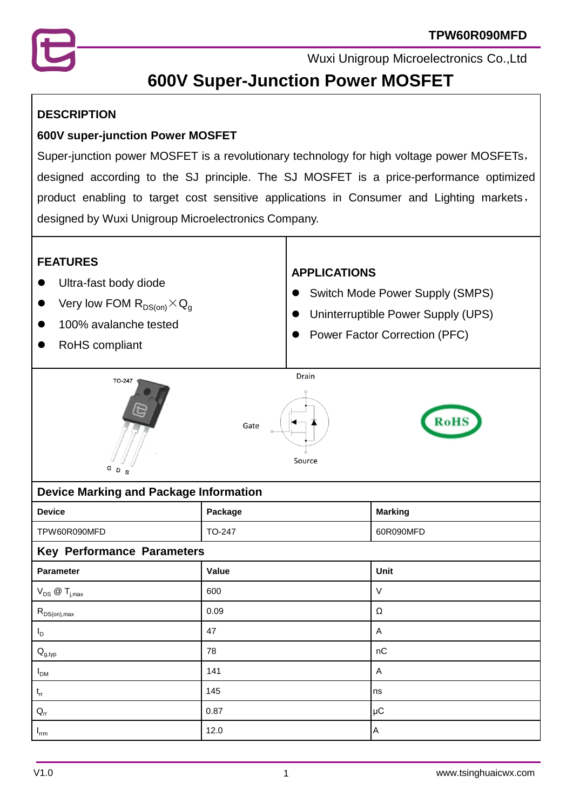

# **600V Super-Junction Power MOSFET**

#### **DESCRIPTION**

#### **600V super-junction Power MOSFET**

Super-junction power MOSFET is a revolutionary technology for high voltage power MOSFETs, designed according to the SJ principle. The SJ MOSFET is a price-performance optimized product enabling to target cost sensitive applications in Consumer and Lighting markets, designed by Wuxi Unigroup Microelectronics Company.



| <b>Device</b>                                             | Package | <b>Marking</b> |  |  |  |
|-----------------------------------------------------------|---------|----------------|--|--|--|
| TPW60R090MFD                                              | TO-247  | 60R090MFD      |  |  |  |
| <b>Key Performance Parameters</b>                         |         |                |  |  |  |
| Parameter                                                 | Value   | Unit           |  |  |  |
| $V_{DS}$ @ $T_{j,max}$                                    | 600     | $\vee$         |  |  |  |
| $\mathsf{R}_{\mathsf{DS}( \mathsf{on} ) , \mathsf{max} }$ | 0.09    | Ω              |  |  |  |
| $I_D$                                                     | 47      | Α              |  |  |  |
| $\mathsf{Q}_{\mathsf{g},\mathsf{typ}}$                    | 78      | nC             |  |  |  |
| $I_{DM}$                                                  | 141     | Α              |  |  |  |
| $\mathfrak{t}_{\text{rr}}$                                | 145     | Ins            |  |  |  |
| $\mathsf{Q}_{\mathsf{rr}}$                                | 0.87    | µC             |  |  |  |
| $I_{\text{rrm}}$                                          | 12.0    | ΙA             |  |  |  |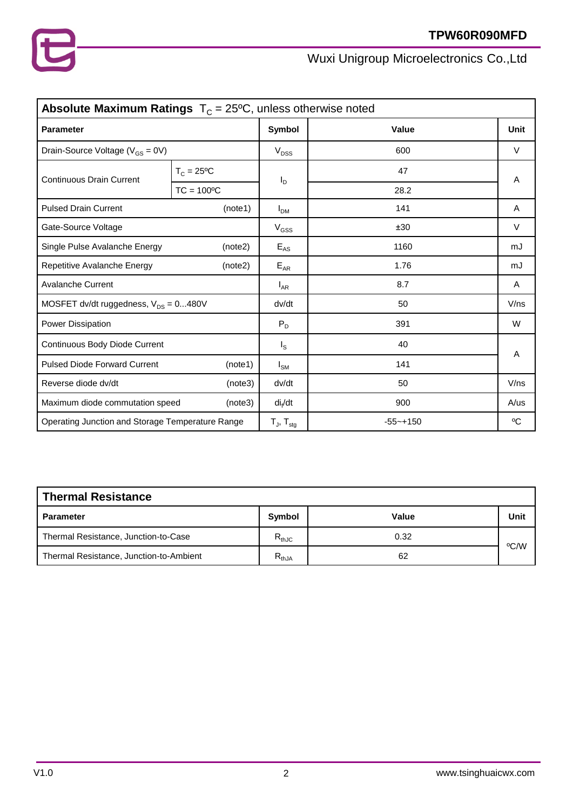| <b>Absolute Maximum Ratings</b> $T_c = 25^{\circ}C$ , unless otherwise noted |                     |                            |               |        |  |
|------------------------------------------------------------------------------|---------------------|----------------------------|---------------|--------|--|
| <b>Parameter</b>                                                             |                     | Symbol                     | Value         | Unit   |  |
| Drain-Source Voltage ( $V_{GS} = 0V$ )                                       |                     | $V_{DSS}$                  | 600           | $\vee$ |  |
| <b>Continuous Drain Current</b>                                              | $T_c = 25^{\circ}C$ | I <sub>D</sub>             | 47            | A      |  |
|                                                                              | $TC = 100°C$        |                            | 28.2          |        |  |
| <b>Pulsed Drain Current</b>                                                  | (note1)             | I <sub>DM</sub>            | 141           | A      |  |
| Gate-Source Voltage                                                          |                     | $V_{GSS}$                  | ±30           | $\vee$ |  |
| Single Pulse Avalanche Energy                                                | (note2)             | $E_{AS}$                   | 1160          | mJ     |  |
| Repetitive Avalanche Energy                                                  | (note2)             | $E_{AR}$                   | 1.76          | mJ     |  |
| <b>Avalanche Current</b>                                                     |                     | $I_{AR}$                   | 8.7           | A      |  |
| MOSFET dv/dt ruggedness, $V_{DS} = 0480V$                                    |                     | dv/dt                      | 50            | V/ns   |  |
| <b>Power Dissipation</b>                                                     |                     | $P_D$                      | 391           | W      |  |
| Continuous Body Diode Current                                                |                     | $I_{\rm S}$                | 40            |        |  |
| <b>Pulsed Diode Forward Current</b><br>(note1)                               |                     | $I_{SM}$                   | 141           | A      |  |
| Reverse diode dv/dt                                                          | (note3)             | dv/dt                      | 50            | V/ns   |  |
| Maximum diode commutation speed                                              | (note3)             | di <sub>f</sub> /dt        | 900           | A/us   |  |
| Operating Junction and Storage Temperature Range                             |                     | $T_{J}$ , $T_{\text{stg}}$ | $-55 - + 150$ | °C     |  |

# **Thermal Resistance Parameter Symbol Value Unit** Thermal Resistance, Junction-to-Case  $R_{thJC}$   $R_{thJC}$  0.32 ºC/W Thermal Resistance, Junction-to-Ambient  $R_{thJA}$  R<sub>thJA</sub> 62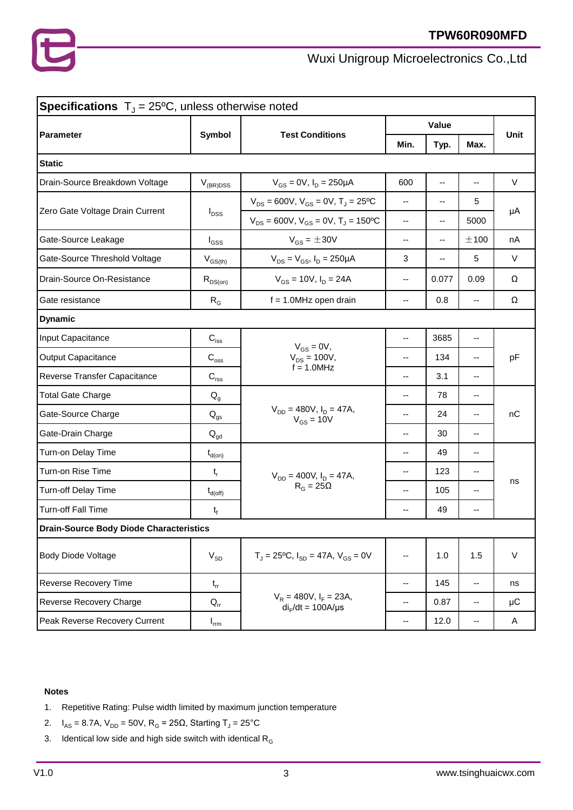

| <b>Specifications</b> $T_{J} = 25^{\circ}\text{C}$ , unless otherwise noted |                            |                                                        |                          |                          |                          |         |  |
|-----------------------------------------------------------------------------|----------------------------|--------------------------------------------------------|--------------------------|--------------------------|--------------------------|---------|--|
|                                                                             |                            |                                                        | Value                    |                          |                          |         |  |
| <b>Parameter</b>                                                            | <b>Symbol</b>              | <b>Test Conditions</b>                                 | Min.                     | Typ.                     | Max.                     | Unit    |  |
| <b>Static</b>                                                               |                            |                                                        |                          |                          |                          |         |  |
| Drain-Source Breakdown Voltage                                              | $V_{(BR)DSS}$              | $V_{GS} = 0V$ , $I_D = 250 \mu A$                      | 600                      | $\overline{\phantom{a}}$ | $-$                      | $\vee$  |  |
| Zero Gate Voltage Drain Current                                             | $I_{DSS}$                  | $V_{DS}$ = 600V, $V_{GS}$ = 0V, T <sub>J</sub> = 25°C  |                          | --                       | 5                        |         |  |
|                                                                             |                            | $V_{DS} = 600V$ , $V_{GS} = 0V$ , $T_J = 150^{\circ}C$ | $\overline{\phantom{a}}$ | --                       | 5000                     | μA      |  |
| Gate-Source Leakage                                                         | $I_{GSS}$                  | $V_{GS} = \pm 30V$                                     | $\overline{\phantom{a}}$ | --                       | ±100                     | nA      |  |
| Gate-Source Threshold Voltage                                               | $V_{GS(th)}$               | $V_{DS} = V_{GS}$ , $I_D = 250 \mu A$                  | 3                        |                          | 5                        | V       |  |
| Drain-Source On-Resistance                                                  | $R_{DS(on)}$               | $V_{GS}$ = 10V, $I_D$ = 24A                            | $\overline{\phantom{a}}$ | 0.077                    | 0.09                     | Ω       |  |
| Gate resistance                                                             | $R_G$                      | $f = 1.0$ MHz open drain                               | $\overline{\phantom{a}}$ | 0.8                      | --                       | Ω       |  |
| <b>Dynamic</b>                                                              |                            |                                                        |                          |                          |                          |         |  |
| Input Capacitance                                                           | $C_{\text{iss}}$           |                                                        | $\mathbf{u}$             | 3685                     | $\overline{\phantom{a}}$ | pF      |  |
| <b>Output Capacitance</b>                                                   | $\mathbf{C}_\mathrm{oss}$  | $V_{GS} = 0V$ ,<br>$V_{DS} = 100V,$                    | $-$                      | 134                      | $-$                      |         |  |
| Reverse Transfer Capacitance                                                | $C_{\text{rss}}$           | $f = 1.0$ MHz                                          | $\overline{\phantom{a}}$ | 3.1                      | --                       |         |  |
| <b>Total Gate Charge</b>                                                    | $Q_{q}$                    |                                                        | $-$                      | 78                       | --                       | nC      |  |
| Gate-Source Charge                                                          | $\mathsf{Q}_{\mathsf{gs}}$ | $V_{DD} = 480V$ , $I_D = 47A$ ,<br>$V_{GS} = 10V$      | $-$                      | 24                       | --                       |         |  |
| Gate-Drain Charge                                                           | $\mathsf{Q}_{\mathsf{gd}}$ |                                                        | $\overline{\phantom{a}}$ | 30                       | $\overline{\phantom{a}}$ |         |  |
| Turn-on Delay Time                                                          | $t_{d(on)}$                |                                                        | --                       | 49                       | --                       |         |  |
| Turn-on Rise Time                                                           | $t_{r}$                    | $V_{DD} = 400V$ , $I_D = 47A$ ,                        | --                       | 123                      | --                       | ns      |  |
| Turn-off Delay Time                                                         | $t_{d(\text{off})}$        | $R_G = 25\Omega$                                       | $\overline{\phantom{a}}$ | 105                      | --                       |         |  |
| Turn-off Fall Time                                                          | $t_f$                      |                                                        | $\overline{\phantom{a}}$ | 49                       | --                       |         |  |
| <b>Drain-Source Body Diode Characteristics</b>                              |                            |                                                        |                          |                          |                          |         |  |
| <b>Body Diode Voltage</b>                                                   | $V_{SD}$                   | $T_J = 25$ °C, $I_{SD} = 47A$ , $V_{GS} = 0V$          | $\overline{\phantom{a}}$ | 1.0                      | 1.5                      | $\vee$  |  |
| Reverse Recovery Time                                                       | $t_{rr}$                   |                                                        | $\overline{\phantom{a}}$ | 145                      | $\overline{\phantom{a}}$ | ns      |  |
| Reverse Recovery Charge                                                     | $Q_{rr}$                   | $V_R = 480V$ , $I_F = 23A$ ,<br>$di_F/dt = 100A/\mu s$ | $\overline{\phantom{a}}$ | 0.87                     | $\overline{\phantom{a}}$ | $\mu$ C |  |
| Peak Reverse Recovery Current                                               | $I_{\text{rrm}}$           |                                                        | $\overline{\phantom{a}}$ | 12.0                     | $\overline{\phantom{a}}$ | A       |  |

#### **Notes**

- 1. Repetitive Rating: Pulse width limited by maximum junction temperature
- 2.  $I_{AS} = 8.7A$ ,  $V_{DD} = 50V$ ,  $R_G = 25Ω$ , Starting  $T_J = 25°C$
- 3. Identical low side and high side switch with identical  $R_G$

3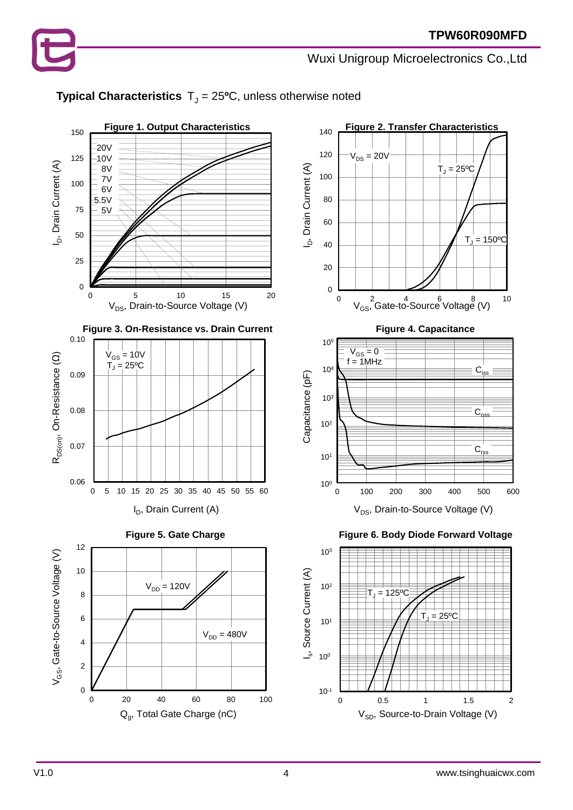

# **Typical Characteristics**  $T_J = 25$ <sup>o</sup>C, unless otherwise noted

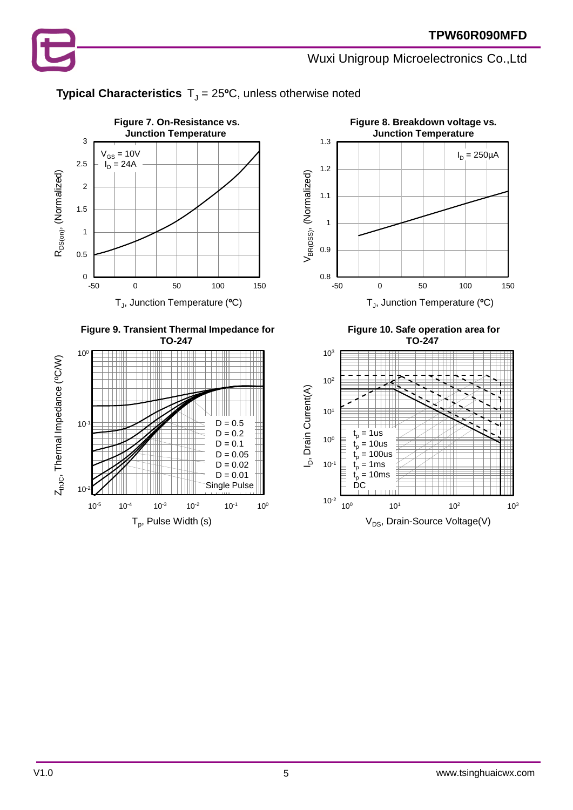# **Typical Characteristics**  $T_J = 25$ <sup>o</sup>C, unless otherwise noted









**Figure 10. Safe operation area for TO-247**

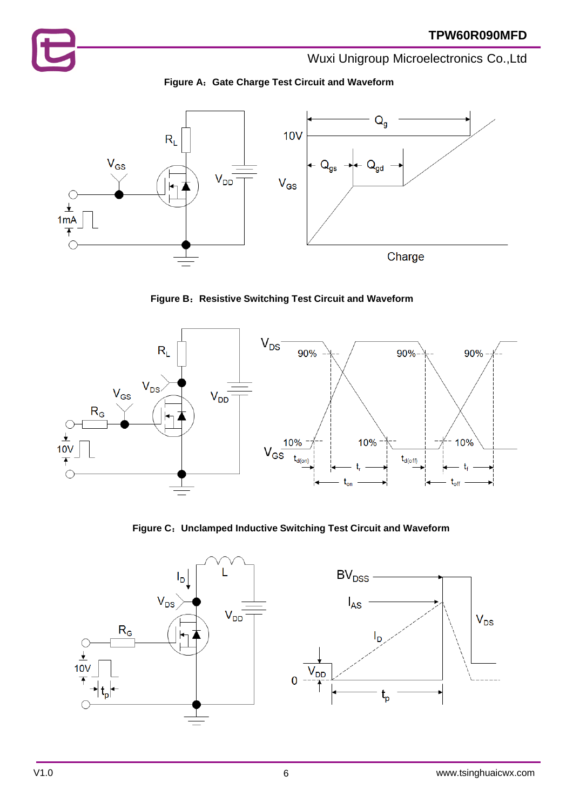



**Figure B**:**Resistive Switching Test Circuit and Waveform**



**Figure C**:**Unclamped Inductive Switching Test Circuit and Waveform**

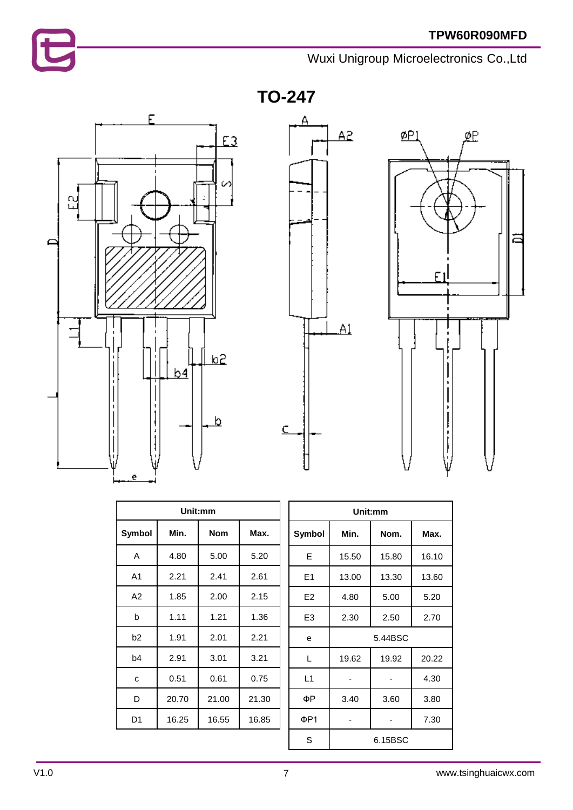# E

# Wuxi Unigroup Microelectronics Co.,Ltd

**TO-247**







| Unit:mm        |       |            |       |  |  |
|----------------|-------|------------|-------|--|--|
| Symbol         | Min.  | <b>Nom</b> | Max.  |  |  |
| Α              | 4.80  | 5.00       | 5.20  |  |  |
| A <sub>1</sub> | 2.21  | 2.41       | 2.61  |  |  |
| A2             | 1.85  | 2.00       | 2.15  |  |  |
| b              | 1.11  | 1.21       | 1.36  |  |  |
| b <sub>2</sub> | 1.91  | 2.01       | 2.21  |  |  |
| b4             | 2.91  | 3.01       | 3.21  |  |  |
| C              | 0.51  | 0.61       | 0.75  |  |  |
| D              | 20.70 | 21.00      | 21.30 |  |  |
| D <sub>1</sub> | 16.25 | 16.55      | 16.85 |  |  |

| Unit:mm        |         |       |       |  |  |
|----------------|---------|-------|-------|--|--|
| <b>Symbol</b>  | Min.    | Nom.  | Max.  |  |  |
| F              | 15.50   | 15.80 | 16.10 |  |  |
| E1             | 13.00   | 13.30 | 13.60 |  |  |
| E <sub>2</sub> | 4.80    | 5.00  | 5.20  |  |  |
| E <sub>3</sub> | 2.30    | 2.50  | 2.70  |  |  |
| e              | 5.44BSC |       |       |  |  |
| L              | 19.62   | 19.92 | 20.22 |  |  |
| L1             |         |       | 4.30  |  |  |
| ФΡ             | 3.40    | 3.60  | 3.80  |  |  |
| ΦP1            |         |       | 7.30  |  |  |
| S              | 6.15BSC |       |       |  |  |